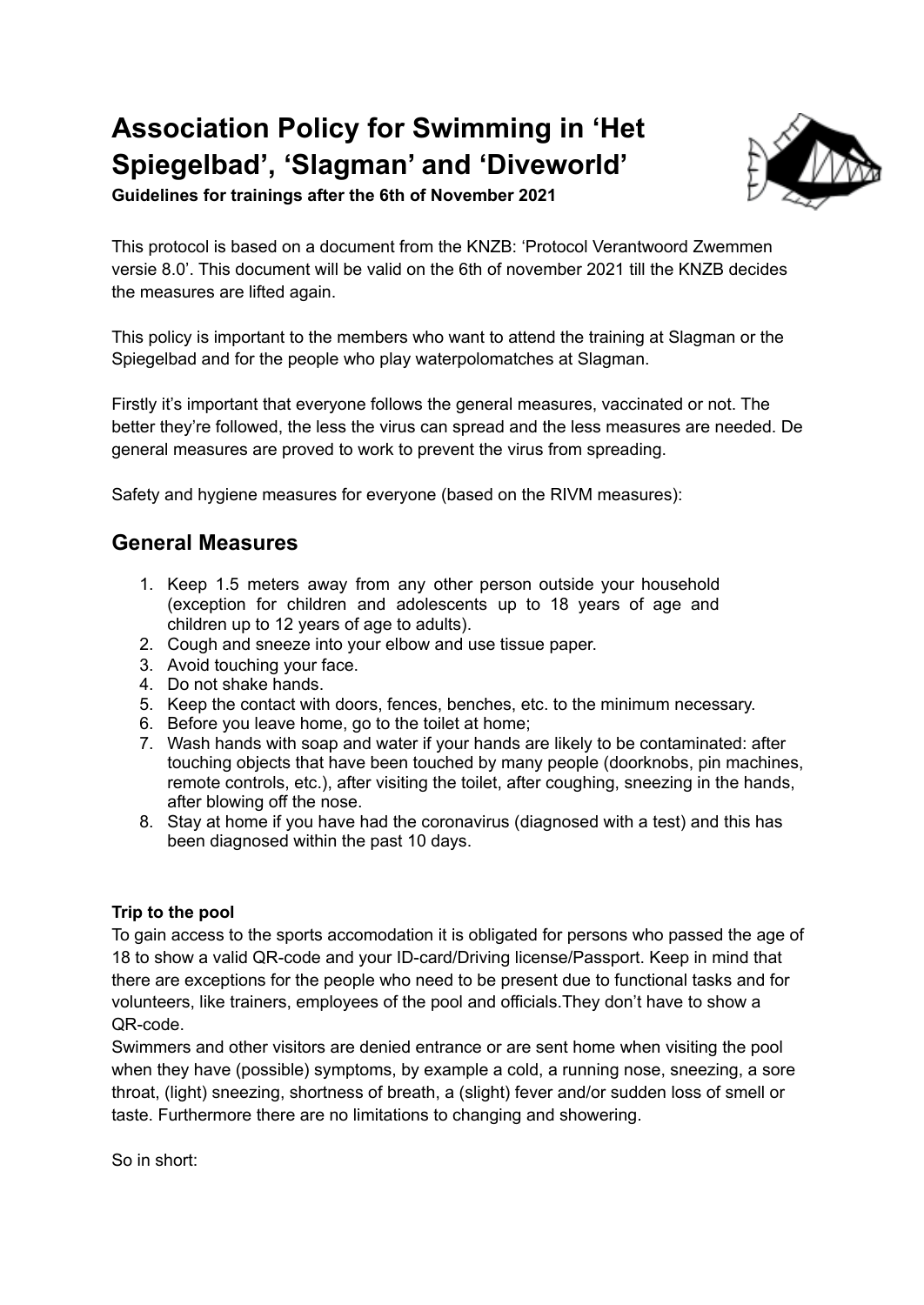# **Association Policy for Swimming in 'Het Spiegelbad', 'Slagman' and 'Diveworld'**



**Guidelines for trainings after the 6th of November 2021**

This protocol is based on a document from the KNZB: 'Protocol Verantwoord Zwemmen versie 8.0'. This document will be valid on the 6th of november 2021 till the KNZB decides the measures are lifted again.

This policy is important to the members who want to attend the training at Slagman or the Spiegelbad and for the people who play waterpolomatches at Slagman.

Firstly it's important that everyone follows the general measures, vaccinated or not. The better they're followed, the less the virus can spread and the less measures are needed. De general measures are proved to work to prevent the virus from spreading.

Safety and hygiene measures for everyone (based on the RIVM measures):

## **General Measures**

- 1. Keep 1.5 meters away from any other person outside your household (exception for children and adolescents up to 18 years of age and children up to 12 years of age to adults).
- 2. Cough and sneeze into your elbow and use tissue paper.
- 3. Avoid touching your face.
- 4. Do not shake hands.
- 5. Keep the contact with doors, fences, benches, etc. to the minimum necessary.
- 6. Before you leave home, go to the toilet at home;
- 7. Wash hands with soap and water if your hands are likely to be contaminated: after touching objects that have been touched by many people (doorknobs, pin machines, remote controls, etc.), after visiting the toilet, after coughing, sneezing in the hands, after blowing off the nose.
- 8. Stay at home if you have had the coronavirus (diagnosed with a test) and this has been diagnosed within the past 10 days.

#### **Trip to the pool**

To gain access to the sports accomodation it is obligated for persons who passed the age of 18 to show a valid QR-code and your ID-card/Driving license/Passport. Keep in mind that there are exceptions for the people who need to be present due to functional tasks and for volunteers, like trainers, employees of the pool and officials.They don't have to show a QR-code.

Swimmers and other visitors are denied entrance or are sent home when visiting the pool when they have (possible) symptoms, by example a cold, a running nose, sneezing, a sore throat, (light) sneezing, shortness of breath, a (slight) fever and/or sudden loss of smell or taste. Furthermore there are no limitations to changing and showering.

So in short: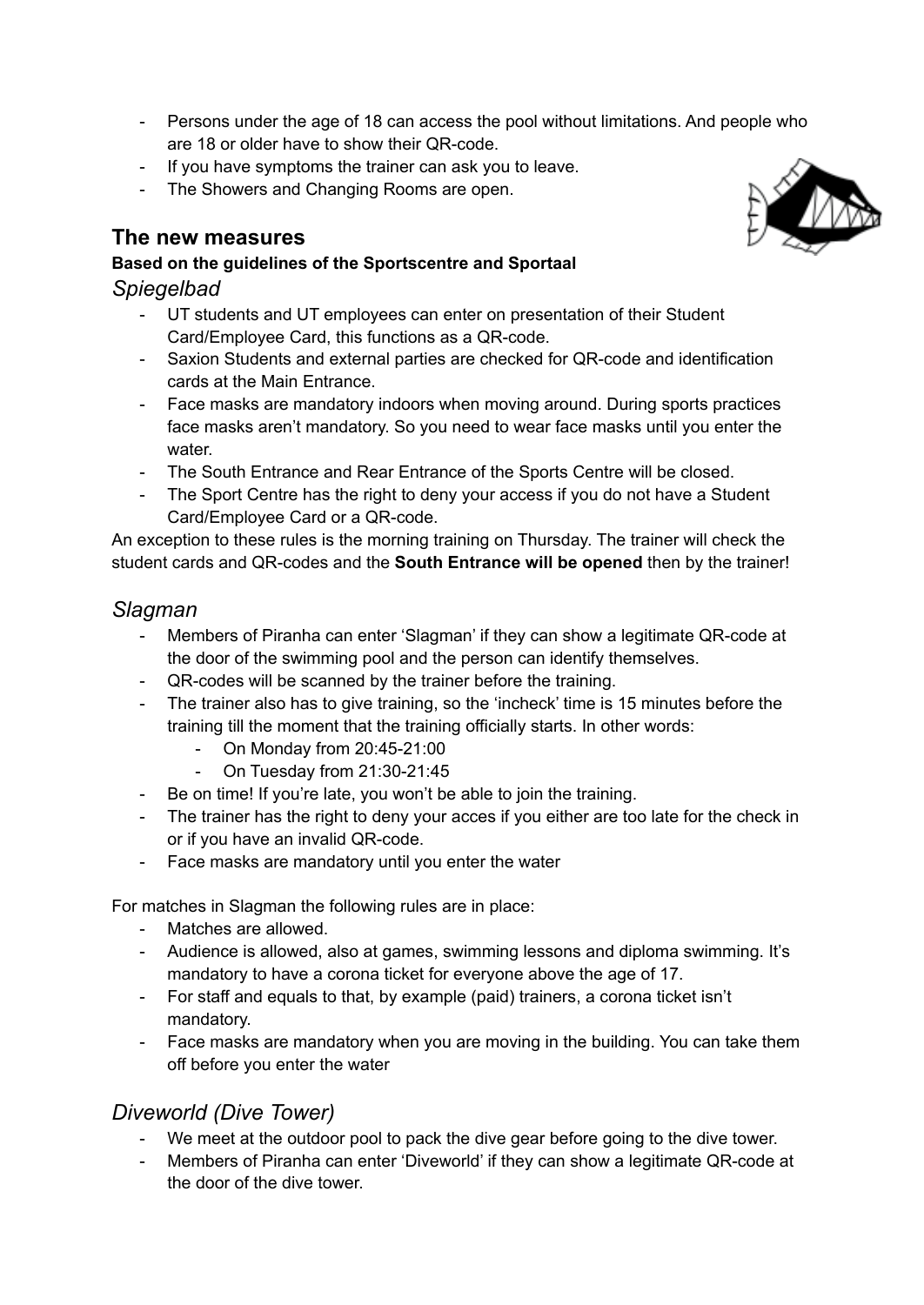- Persons under the age of 18 can access the pool without limitations. And people who are 18 or older have to show their QR-code.
- If you have symptoms the trainer can ask you to leave.
- The Showers and Changing Rooms are open.

## **The new measures**

#### **Based on the guidelines of the Sportscentre and Sportaal**

### *Spiegelbad*

- UT students and UT employees can enter on presentation of their Student Card/Employee Card, this functions as a QR-code.
- Saxion Students and external parties are checked for QR-code and identification cards at the Main Entrance.
- Face masks are mandatory indoors when moving around. During sports practices face masks aren't mandatory. So you need to wear face masks until you enter the water
- The South Entrance and Rear Entrance of the Sports Centre will be closed.
- The Sport Centre has the right to deny your access if you do not have a Student Card/Employee Card or a QR-code.

An exception to these rules is the morning training on Thursday. The trainer will check the student cards and QR-codes and the **South Entrance will be opened** then by the trainer!

## *Slagman*

- Members of Piranha can enter 'Slagman' if they can show a legitimate QR-code at the door of the swimming pool and the person can identify themselves.
- QR-codes will be scanned by the trainer before the training.
- The trainer also has to give training, so the 'incheck' time is 15 minutes before the training till the moment that the training officially starts. In other words:
	- On Monday from 20:45-21:00
	- On Tuesday from 21:30-21:45
- Be on time! If you're late, you won't be able to join the training.
- The trainer has the right to deny your acces if you either are too late for the check in or if you have an invalid QR-code.
- Face masks are mandatory until you enter the water

For matches in Slagman the following rules are in place:

- Matches are allowed.
- Audience is allowed, also at games, swimming lessons and diploma swimming. It's mandatory to have a corona ticket for everyone above the age of 17.
- For staff and equals to that, by example (paid) trainers, a corona ticket isn't mandatory.
- Face masks are mandatory when you are moving in the building. You can take them off before you enter the water

## *Diveworld (Dive Tower)*

- We meet at the outdoor pool to pack the dive gear before going to the dive tower.
- Members of Piranha can enter 'Diveworld' if they can show a legitimate QR-code at the door of the dive tower.